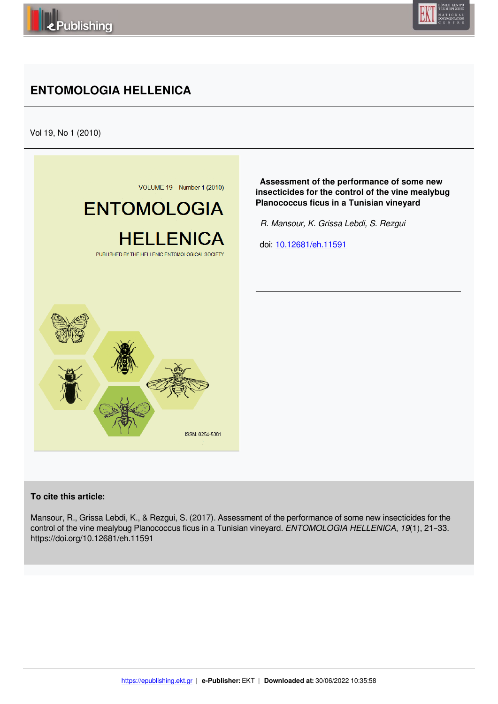

# **ENTOMOLOGIA HELLENICA**

Vol 19, No 1 (2010)



 **Assessment of the performance of some new insecticides for the control of the vine mealybug Planococcus ficus in a Tunisian vineyard**

 *R. Mansour, K. Grissa Lebdi, S. Rezgui* 

doi: 10.12681/eh.11591

## **To cite this article:**

Mansour, R., Grissa Lebdi, K., & Rezgui, S. (2017). Assessment of the performance of some new insecticides for the control of the vine mealybug Planococcus ficus in a Tunisian vineyard. *ENTOMOLOGIA HELLENICA*, *19*(1), 21–33. https://doi.org/10.12681/eh.11591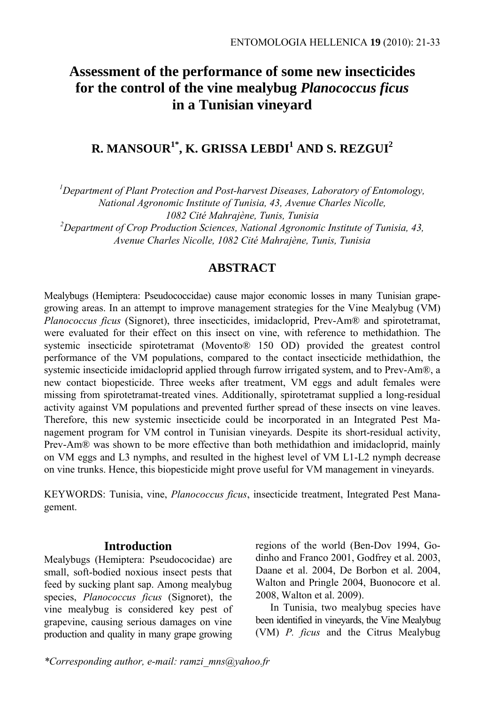## **Assessment of the performance of some new insecticides for the control of the vine mealybug** *Planococcus ficus* **in a Tunisian vineyard**

## $\mathbf{R}.$  MANSOUR<sup>1\*</sup>, K. GRISSA LEBDI<sup>1</sup> AND S. REZGUI<sup>2</sup>

*1 Department of Plant Protection and Post-harvest Diseases, Laboratory of Entomology,* 

*National Agronomic Institute of Tunisia, 43, Avenue Charles Nicolle,* 

*1082 Cité Mahrajène, Tunis, Tunisia 2 Department of Crop Production Sciences, National Agronomic Institute of Tunisia, 43, Avenue Charles Nicolle, 1082 Cité Mahrajène, Tunis, Tunisia* 

## **ABSTRACT**

Mealybugs (Hemiptera: Pseudococcidae) cause major economic losses in many Tunisian grapegrowing areas. In an attempt to improve management strategies for the Vine Mealybug (VM) *Planococcus ficus* (Signoret), three insecticides, imidacloprid, Prev-Am® and spirotetramat, were evaluated for their effect on this insect on vine, with reference to methidathion. The systemic insecticide spirotetramat (Movento® 150 OD) provided the greatest control performance of the VM populations, compared to the contact insecticide methidathion, the systemic insecticide imidacloprid applied through furrow irrigated system, and to Prev-Am®, a new contact biopesticide. Three weeks after treatment, VM eggs and adult females were missing from spirotetramat-treated vines. Additionally, spirotetramat supplied a long-residual activity against VM populations and prevented further spread of these insects on vine leaves. Therefore, this new systemic insecticide could be incorporated in an Integrated Pest Management program for VM control in Tunisian vineyards. Despite its short-residual activity, Prev-Am® was shown to be more effective than both methidathion and imidacloprid, mainly on VM eggs and L3 nymphs, and resulted in the highest level of VM L1-L2 nymph decrease on vine trunks. Hence, this biopesticide might prove useful for VM management in vineyards.

KEYWORDS: Tunisia, vine, *Planococcus ficus*, insecticide treatment, Integrated Pest Management.

## **Introduction**

Mealybugs (Hemiptera: Pseudococidae) are small, soft-bodied noxious insect pests that feed by sucking plant sap. Among mealybug species, *Planococcus ficus* (Signoret), the vine mealybug is considered key pest of grapevine, causing serious damages on vine production and quality in many grape growing regions of the world (Ben-Dov 1994, Godinho and Franco 2001, Godfrey et al. 2003, Daane et al. 2004, De Borbon et al. 2004, Walton and Pringle 2004, Buonocore et al. 2008, Walton et al. 2009).

In Tunisia, two mealybug species have been identified in vineyards, the Vine Mealybug (VM) *P. ficus* and the Citrus Mealybug

*\*Corresponding author, e-mail: ramzi\_mns@yahoo.fr*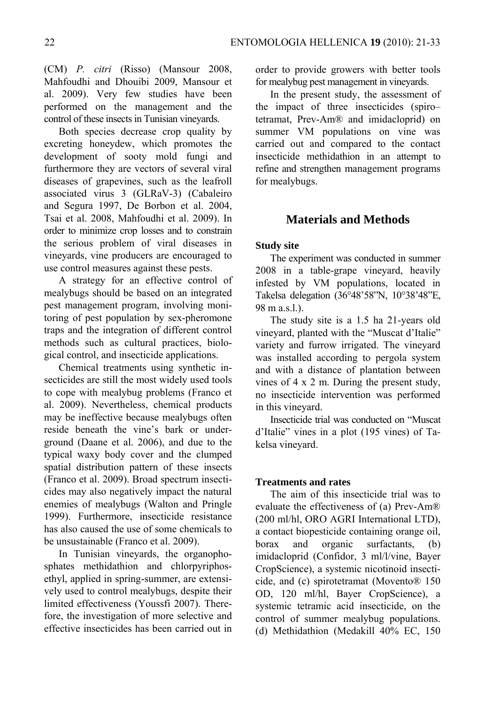(CM) *P. citri* (Risso) (Mansour 2008, Mahfoudhi and Dhouibi 2009, Mansour et al. 2009). Very few studies have been performed on the management and the control of these insects in Tunisian vineyards.

Both species decrease crop quality by excreting honeydew, which promotes the development of sooty mold fungi and furthermore they are vectors of several viral diseases of grapevines, such as the leafroll associated virus 3 (GLRaV-3) (Cabaleiro and Segura 1997, De Borbon et al. 2004, Tsai et al. 2008, Mahfoudhi et al. 2009). In order to minimize crop losses and to constrain the serious problem of viral diseases in vineyards, vine producers are encouraged to use control measures against these pests.

A strategy for an effective control of mealybugs should be based on an integrated pest management program, involving monitoring of pest population by sex-pheromone traps and the integration of different control methods such as cultural practices, biological control, and insecticide applications.

Chemical treatments using synthetic insecticides are still the most widely used tools to cope with mealybug problems (Franco et al. 2009). Nevertheless, chemical products may be ineffective because mealybugs often reside beneath the vine's bark or underground (Daane et al. 2006), and due to the typical waxy body cover and the clumped spatial distribution pattern of these insects (Franco et al. 2009). Broad spectrum insecticides may also negatively impact the natural enemies of mealybugs (Walton and Pringle 1999). Furthermore, insecticide resistance has also caused the use of some chemicals to be unsustainable (Franco et al. 2009).

In Tunisian vineyards, the organophosphates methidathion and chlorpyriphosethyl, applied in spring-summer, are extensively used to control mealybugs, despite their limited effectiveness (Youssfi 2007). Therefore, the investigation of more selective and effective insecticides has been carried out in order to provide growers with better tools for mealybug pest management in vineyards.

In the present study, the assessment of the impact of three insecticides (spiro– tetramat, Prev-Am® and imidacloprid) on summer VM populations on vine was carried out and compared to the contact insecticide methidathion in an attempt to refine and strengthen management programs for mealybugs.

## **Materials and Methods**

#### **Study site**

The experiment was conducted in summer 2008 in a table-grape vineyard, heavily infested by VM populations, located in Takelsa delegation (36°48'58"N, 10°38'48"E, 98 m a.s.l.).

The study site is a 1.5 ha 21-years old vineyard, planted with the "Muscat d'Italie" variety and furrow irrigated. The vineyard was installed according to pergola system and with a distance of plantation between vines of 4 x 2 m. During the present study, no insecticide intervention was performed in this vineyard.

Insecticide trial was conducted on "Muscat d'Italie" vines in a plot (195 vines) of Takelsa vineyard.

#### **Treatments and rates**

The aim of this insecticide trial was to evaluate the effectiveness of (a) Prev-Am® (200 ml/hl, ORO AGRI International LTD), a contact biopesticide containing orange oil, borax and organic surfactants, (b) imidacloprid (Confidor, 3 ml/l/vine, Bayer CropScience), a systemic nicotinoid insecticide, and (c) spirotetramat (Movento® 150 OD, 120 ml/hl, Bayer CropScience), a systemic tetramic acid insecticide, on the control of summer mealybug populations. (d) Methidathion (Medakill 40% EC, 150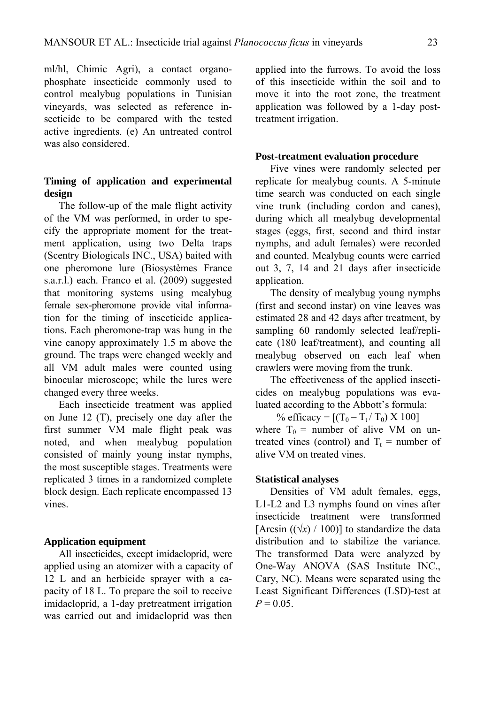ml/hl, Chimic Agri), a contact organophosphate insecticide commonly used to control mealybug populations in Tunisian vineyards, was selected as reference insecticide to be compared with the tested active ingredients. (e) An untreated control was also considered.

#### **Timing of application and experimental design**

The follow-up of the male flight activity of the VM was performed, in order to specify the appropriate moment for the treatment application, using two Delta traps (Scentry Biologicals INC., USA) baited with one pheromone lure (Biosystèmes France s.a.r.l.) each. Franco et al. (2009) suggested that monitoring systems using mealybug female sex-pheromone provide vital information for the timing of insecticide applications. Each pheromone-trap was hung in the vine canopy approximately 1.5 m above the ground. The traps were changed weekly and all VM adult males were counted using binocular microscope; while the lures were changed every three weeks.

Each insecticide treatment was applied on June 12 (T), precisely one day after the first summer VM male flight peak was noted, and when mealybug population consisted of mainly young instar nymphs, the most susceptible stages. Treatments were replicated 3 times in a randomized complete block design. Each replicate encompassed 13 vines.

#### **Application equipment**

All insecticides, except imidacloprid, were applied using an atomizer with a capacity of 12 L and an herbicide sprayer with a capacity of 18 L. To prepare the soil to receive imidacloprid, a 1-day pretreatment irrigation was carried out and imidacloprid was then applied into the furrows. To avoid the loss of this insecticide within the soil and to move it into the root zone, the treatment application was followed by a 1-day posttreatment irrigation.

#### **Post-treatment evaluation procedure**

Five vines were randomly selected per replicate for mealybug counts. A 5-minute time search was conducted on each single vine trunk (including cordon and canes), during which all mealybug developmental stages (eggs, first, second and third instar nymphs, and adult females) were recorded and counted. Mealybug counts were carried out 3, 7, 14 and 21 days after insecticide application.

The density of mealybug young nymphs (first and second instar) on vine leaves was estimated 28 and 42 days after treatment, by sampling 60 randomly selected leaf/replicate (180 leaf/treatment), and counting all mealybug observed on each leaf when crawlers were moving from the trunk.

The effectiveness of the applied insecticides on mealybug populations was evaluated according to the Abbott's formula:

% efficacy =  $[(T_0 - T_t / T_0) \times 100]$ where  $T_0$  = number of alive VM on un-

treated vines (control) and  $T_t$  = number of alive VM on treated vines.

#### **Statistical analyses**

Densities of VM adult females, eggs, L1-L2 and L3 nymphs found on vines after insecticide treatment were transformed [Arcsin  $((\sqrt{x})/100)$ ] to standardize the data distribution and to stabilize the variance. The transformed Data were analyzed by One-Way ANOVA (SAS Institute INC., Cary, NC). Means were separated using the Least Significant Differences (LSD)-test at  $P = 0.05$ .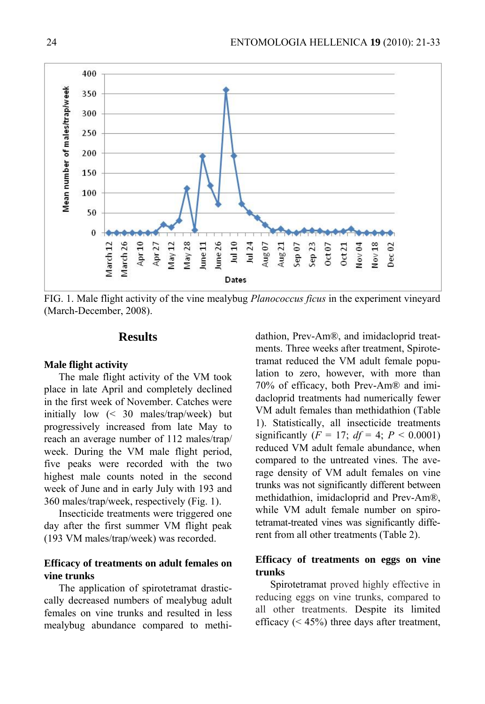

FIG. 1. Male flight activity of the vine mealybug *Planococcus ficus* in the experiment vineyard (March-December, 2008).

## **Results**

#### **Male flight activity**

The male flight activity of the VM took place in late April and completely declined in the first week of November. Catches were initially low (< 30 males/trap/week) but progressively increased from late May to reach an average number of 112 males/trap/ week. During the VM male flight period, five peaks were recorded with the two highest male counts noted in the second week of June and in early July with 193 and 360 males/trap/week, respectively (Fig. 1).

Insecticide treatments were triggered one day after the first summer VM flight peak (193 VM males/trap/week) was recorded.

#### **Efficacy of treatments on adult females on vine trunks**

The application of spirotetramat drasticcally decreased numbers of mealybug adult females on vine trunks and resulted in less mealybug abundance compared to methidathion, Prev-Am®, and imidacloprid treatments. Three weeks after treatment, Spirotetramat reduced the VM adult female population to zero, however, with more than 70% of efficacy, both Prev-Am® and imidacloprid treatments had numerically fewer VM adult females than methidathion (Table 1). Statistically, all insecticide treatments significantly  $(F = 17; df = 4; P < 0.0001)$ reduced VM adult female abundance, when compared to the untreated vines. The average density of VM adult females on vine trunks was not significantly different between methidathion, imidacloprid and Prev-Am®, while VM adult female number on spirotetramat-treated vines was significantly different from all other treatments (Table 2).

### **Efficacy of treatments on eggs on vine trunks**

Spirotetramat proved highly effective in reducing eggs on vine trunks, compared to all other treatments. Despite its limited efficacy  $(< 45\%)$  three days after treatment,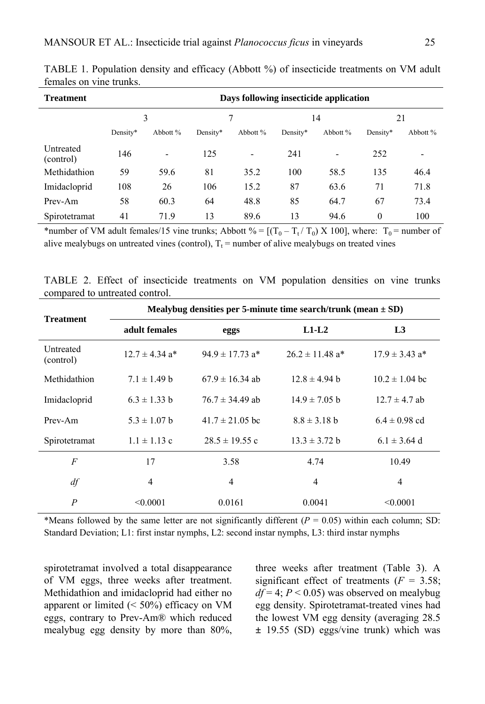| <b>Treatment</b>       | Days following insecticide application |                          |          |                          |          |          |          |          |
|------------------------|----------------------------------------|--------------------------|----------|--------------------------|----------|----------|----------|----------|
|                        | 3                                      |                          |          |                          | 14       |          | 21       |          |
|                        | Density*                               | Abbott %                 | Density* | Abbott %                 | Density* | Abbott % | Density* | Abbott % |
| Untreated<br>(control) | 146                                    | $\overline{\phantom{a}}$ | 125      | $\overline{\phantom{a}}$ | 241      | -        | 252      | ٠        |
| Methidathion           | 59                                     | 59.6                     | 81       | 35.2                     | 100      | 58.5     | 135      | 46.4     |
| Imidacloprid           | 108                                    | 26                       | 106      | 15.2                     | 87       | 63.6     | 71       | 71.8     |
| Prev-Am                | 58                                     | 60.3                     | 64       | 48.8                     | 85       | 64.7     | 67       | 73.4     |
| Spirotetramat          | 41                                     | 71.9                     | 13       | 89.6                     | 13       | 94.6     | 0        | 100      |

TABLE 1. Population density and efficacy (Abbott %) of insecticide treatments on VM adult females on vine trunks.

\*number of VM adult females/15 vine trunks; Abbott % =  $[(T_0 - T_t / T_0) \times 100]$ , where:  $T_0$  = number of alive mealybugs on untreated vines (control),  $T_t$  = number of alive mealybugs on treated vines

TABLE 2. Effect of insecticide treatments on VM population densities on vine trunks compared to untreated control.

| <b>Treatment</b>       | Mealybug densities per 5-minute time search/trunk (mean $\pm$ SD) |                                 |                                 |                                |  |  |  |  |
|------------------------|-------------------------------------------------------------------|---------------------------------|---------------------------------|--------------------------------|--|--|--|--|
|                        | adult females                                                     | eggs                            | $L1-L2$                         | L <sub>3</sub>                 |  |  |  |  |
| Untreated<br>(control) | $12.7 \pm 4.34$ a <sup>*</sup>                                    | $94.9 \pm 17.73$ a <sup>*</sup> | $26.2 \pm 11.48$ a <sup>*</sup> | $17.9 \pm 3.43$ a <sup>*</sup> |  |  |  |  |
| Methidathion           | $7.1 \pm 1.49$ b                                                  | $67.9 \pm 16.34$ ab             | $12.8 \pm 4.94$ h               | $10.2 \pm 1.04$ bc             |  |  |  |  |
| Imidacloprid           | $6.3 \pm 1.33$ b                                                  | $76.7 \pm 34.49$ ab             | $14.9 \pm 7.05$ b               | $12.7 \pm 4.7$ ab              |  |  |  |  |
| Prev-Am                | $5.3 \pm 1.07$ b                                                  | $41.7 \pm 21.05$ bc             | $8.8 \pm 3.18$ b                | $6.4 \pm 0.98$ cd              |  |  |  |  |
| Spirotetramat          | $1.1 \pm 1.13$ c                                                  | $28.5 \pm 19.55$ c              | $13.3 \pm 3.72$ b               | $6.1 \pm 3.64$ d               |  |  |  |  |
| $\overline{F}$         | 17                                                                | 3.58                            | 4.74                            | 10.49                          |  |  |  |  |
| df                     | $\overline{4}$                                                    | 4                               | $\overline{4}$                  | 4                              |  |  |  |  |
| $\boldsymbol{P}$       | < 0.0001                                                          | 0.0161                          | 0.0041                          | < 0.0001                       |  |  |  |  |

\*Means followed by the same letter are not significantly different  $(P = 0.05)$  within each column; SD: Standard Deviation; L1: first instar nymphs, L2: second instar nymphs, L3: third instar nymphs

spirotetramat involved a total disappearance of VM eggs, three weeks after treatment. Methidathion and imidacloprid had either no apparent or limited  $( $50\%$ ) efficacy on VM$ eggs, contrary to Prev-Am® which reduced mealybug egg density by more than 80%, three weeks after treatment (Table 3). A significant effect of treatments  $(F = 3.58)$ ;  $df = 4$ ;  $P < 0.05$ ) was observed on mealybug egg density. Spirotetramat-treated vines had the lowest VM egg density (averaging 28.5 **±** 19.55 (SD) eggs/vine trunk) which was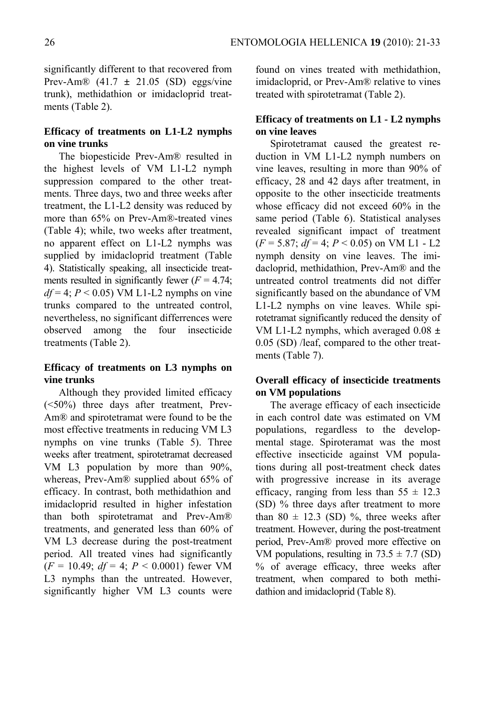significantly different to that recovered from Prev-Am® (41.7 **±** 21.05 (SD) eggs/vine trunk), methidathion or imidacloprid treatments (Table 2).

### **Efficacy of treatments on L1-L2 nymphs on vine trunks**

The biopesticide Prev-Am® resulted in the highest levels of VM L1-L2 nymph suppression compared to the other treatments. Three days, two and three weeks after treatment, the L1-L2 density was reduced by more than 65% on Prev-Am®-treated vines (Table 4); while, two weeks after treatment, no apparent effect on L1-L2 nymphs was supplied by imidacloprid treatment (Table 4). Statistically speaking, all insecticide treatments resulted in significantly fewer  $(F = 4.74)$ ;  $df = 4$ ;  $P < 0.05$ ) VM L1-L2 nymphs on vine trunks compared to the untreated control, nevertheless, no significant differrences were observed among the four insecticide treatments (Table 2).

## **Efficacy of treatments on L3 nymphs on vine trunks**

Although they provided limited efficacy (<50%) three days after treatment, Prev-Am® and spirotetramat were found to be the most effective treatments in reducing VM L3 nymphs on vine trunks (Table 5). Three weeks after treatment, spirotetramat decreased VM L3 population by more than 90%, whereas, Prev-Am® supplied about 65% of efficacy. In contrast, both methidathion and imidacloprid resulted in higher infestation than both spirotetramat and Prev-Am® treatments, and generated less than 60% of VM L3 decrease during the post-treatment period. All treated vines had significantly  $(F = 10.49; df = 4; P < 0.0001)$  fewer VM L3 nymphs than the untreated. However, significantly higher VM L3 counts were found on vines treated with methidathion, imidacloprid, or Prev-Am® relative to vines treated with spirotetramat (Table 2).

### **Efficacy of treatments on L1 - L2 nymphs on vine leaves**

Spirotetramat caused the greatest reduction in VM L1-L2 nymph numbers on vine leaves, resulting in more than 90% of efficacy, 28 and 42 days after treatment, in opposite to the other insecticide treatments whose efficacy did not exceed 60% in the same period (Table 6). Statistical analyses revealed significant impact of treatment  $(F = 5.87; df = 4; P < 0.05)$  on VM L1 - L2 nymph density on vine leaves. The imidacloprid, methidathion, Prev-Am® and the untreated control treatments did not differ significantly based on the abundance of VM L1-L2 nymphs on vine leaves. While spirotetramat significantly reduced the density of VM L1-L2 nymphs, which averaged 0.08 **±**  0.05 (SD) /leaf, compared to the other treatments (Table 7).

## **Overall efficacy of insecticide treatments on VM populations**

The average efficacy of each insecticide in each control date was estimated on VM populations, regardless to the developmental stage. Spiroteramat was the most effective insecticide against VM populations during all post-treatment check dates with progressive increase in its average efficacy, ranging from less than  $55 \pm 12.3$ (SD) % three days after treatment to more than  $80 \pm 12.3$  (SD) %, three weeks after treatment. However, during the post-treatment period, Prev-Am® proved more effective on VM populations, resulting in  $73.5 \pm 7.7$  (SD) % of average efficacy, three weeks after treatment, when compared to both methidathion and imidacloprid (Table 8).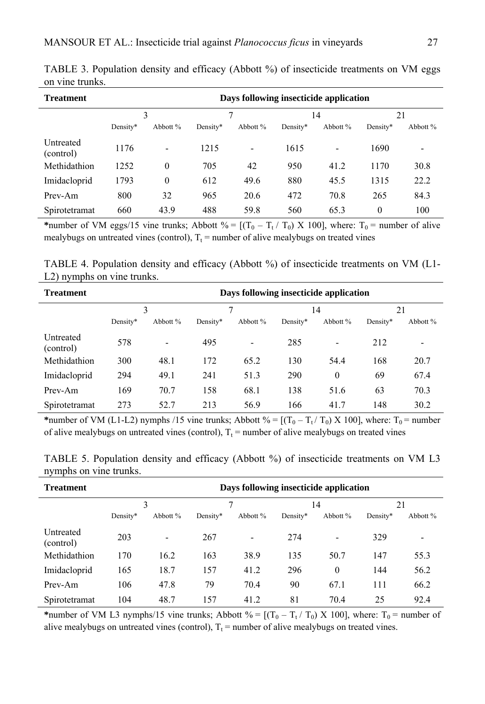| <b>Treatment</b>       | Days following insecticide application |                          |          |                |          |                          |          |                          |
|------------------------|----------------------------------------|--------------------------|----------|----------------|----------|--------------------------|----------|--------------------------|
|                        | 3                                      |                          |          |                | 14       |                          | 21       |                          |
|                        | Density*                               | Abbott $%$               | Density* | Abbott %       | Density* | Abbott %                 | Density* | Abbott %                 |
| Untreated<br>(control) | 1176                                   | $\overline{\phantom{0}}$ | 1215     | $\blacksquare$ | 1615     | $\overline{\phantom{0}}$ | 1690     | $\overline{\phantom{0}}$ |
| Methidathion           | 1252                                   | $\theta$                 | 705      | 42             | 950      | 41.2                     | 1170     | 30.8                     |
| Imidacloprid           | 1793                                   | $\mathbf{0}$             | 612      | 49.6           | 880      | 45.5                     | 1315     | 22.2                     |
| Prev-Am                | 800                                    | 32                       | 965      | 20.6           | 472      | 70.8                     | 265      | 84.3                     |
| Spirotetramat          | 660                                    | 43.9                     | 488      | 59.8           | 560      | 65.3                     | $\theta$ | 100                      |

TABLE 3. Population density and efficacy (Abbott %) of insecticide treatments on VM eggs on vine trunks.

\*number of VM eggs/15 vine trunks; Abbott % =  $[(T_0 - T_t / T_0) \times 100]$ , where:  $T_0$  = number of alive mealybugs on untreated vines (control),  $T_t$  = number of alive mealybugs on treated vines

TABLE 4. Population density and efficacy (Abbott %) of insecticide treatments on VM (L1- L2) nymphs on vine trunks.

| <b>Treatment</b>       | Days following insecticide application |                          |          |                          |          |          |          |          |
|------------------------|----------------------------------------|--------------------------|----------|--------------------------|----------|----------|----------|----------|
|                        | 3                                      |                          | 7        |                          | 14       |          | 21       |          |
|                        | Density*                               | Abbott %                 | Density* | Abbott %                 | Density* | Abbott % | Density* | Abbott % |
| Untreated<br>(control) | 578                                    | $\overline{\phantom{0}}$ | 495      | $\overline{\phantom{a}}$ | 285      | -        | 212      | -        |
| Methidathion           | 300                                    | 48.1                     | 172      | 65.2                     | 130      | 54.4     | 168      | 20.7     |
| Imidacloprid           | 294                                    | 49.1                     | 241      | 51.3                     | 290      | $\theta$ | 69       | 67.4     |
| Prev-Am                | 169                                    | 70.7                     | 158      | 68.1                     | 138      | 51.6     | 63       | 70.3     |
| Spirotetramat          | 273                                    | 52.7                     | 213      | 56.9                     | 166      | 41.7     | 148      | 30.2     |

\*number of VM (L1-L2) nymphs /15 vine trunks; Abbott % =  $[(T_0 - T_t/T_0) \times 100]$ , where:  $T_0$  = number of alive mealybugs on untreated vines (control),  $T_t$  = number of alive mealybugs on treated vines

| <b>Treatment</b>       | Days following insecticide application |                          |          |                          |          |                          |          |                          |
|------------------------|----------------------------------------|--------------------------|----------|--------------------------|----------|--------------------------|----------|--------------------------|
|                        | 3                                      |                          |          |                          | 14       |                          | 21       |                          |
|                        | Density*                               | Abbott %                 | Density* | Abbott %                 | Density* | Abbott %                 | Density* | Abbott %                 |
| Untreated<br>(control) | 203                                    | $\overline{\phantom{0}}$ | 267      | $\overline{\phantom{a}}$ | 274      | $\overline{\phantom{0}}$ | 329      | $\overline{\phantom{0}}$ |
| Methidathion           | 170                                    | 16.2                     | 163      | 38.9                     | 135      | 50.7                     | 147      | 55.3                     |
| Imidacloprid           | 165                                    | 18.7                     | 157      | 41.2                     | 296      | $\theta$                 | 144      | 56.2                     |
| Prev-Am                | 106                                    | 47.8                     | 79       | 70.4                     | 90       | 67.1                     | 111      | 66.2                     |
| Spirotetramat          | 104                                    | 48.7                     | 157      | 41.2                     | 81       | 70.4                     | 25       | 92.4                     |

TABLE 5. Population density and efficacy (Abbott %) of insecticide treatments on VM L3 nymphs on vine trunks.

\*number of VM L3 nymphs/15 vine trunks; Abbott % =  $[(T_0 - T_t / T_0) \times 100]$ , where:  $T_0$  = number of alive mealybugs on untreated vines (control),  $T_t$  = number of alive mealybugs on treated vines.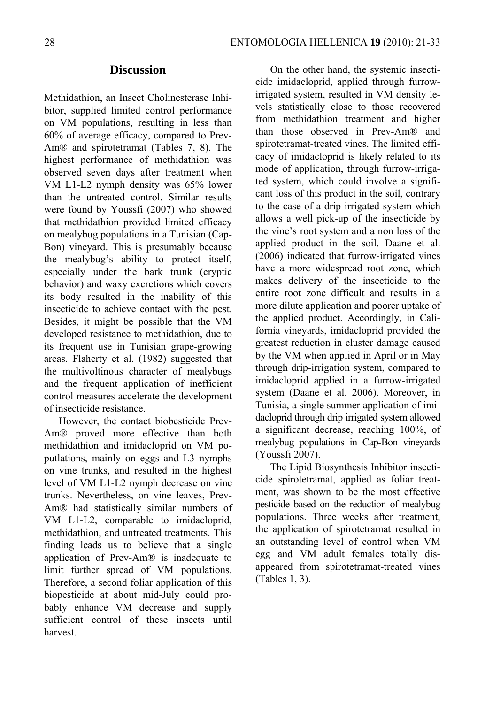## **Discussion**

Methidathion, an Insect Cholinesterase Inhibitor, supplied limited control performance on VM populations, resulting in less than 60% of average efficacy, compared to Prev-Am® and spirotetramat (Tables 7, 8). The highest performance of methidathion was observed seven days after treatment when VM L1-L2 nymph density was 65% lower than the untreated control. Similar results were found by Youssfi (2007) who showed that methidathion provided limited efficacy on mealybug populations in a Tunisian (Cap-Bon) vineyard. This is presumably because the mealybug's ability to protect itself, especially under the bark trunk (cryptic behavior) and waxy excretions which covers its body resulted in the inability of this insecticide to achieve contact with the pest. Besides, it might be possible that the VM developed resistance to methidathion, due to its frequent use in Tunisian grape-growing areas. Flaherty et al. (1982) suggested that the multivoltinous character of mealybugs and the frequent application of inefficient control measures accelerate the development of insecticide resistance.

However, the contact biobesticide Prev-Am® proved more effective than both methidathion and imidacloprid on VM poputlations, mainly on eggs and L3 nymphs on vine trunks, and resulted in the highest level of VM L1-L2 nymph decrease on vine trunks. Nevertheless, on vine leaves, Prev-Am® had statistically similar numbers of VM L1-L2, comparable to imidacloprid, methidathion, and untreated treatments. This finding leads us to believe that a single application of Prev-Am® is inadequate to limit further spread of VM populations. Therefore, a second foliar application of this biopesticide at about mid-July could probably enhance VM decrease and supply sufficient control of these insects until harvest.

On the other hand, the systemic insecticide imidacloprid, applied through furrowirrigated system, resulted in VM density levels statistically close to those recovered from methidathion treatment and higher than those observed in Prev-Am® and spirotetramat-treated vines. The limited efficacy of imidacloprid is likely related to its mode of application, through furrow-irrigated system, which could involve a significant loss of this product in the soil, contrary to the case of a drip irrigated system which allows a well pick-up of the insecticide by the vine's root system and a non loss of the applied product in the soil. Daane et al. (2006) indicated that furrow-irrigated vines have a more widespread root zone, which makes delivery of the insecticide to the entire root zone difficult and results in a more dilute application and poorer uptake of the applied product. Accordingly, in California vineyards, imidacloprid provided the greatest reduction in cluster damage caused by the VM when applied in April or in May through drip-irrigation system, compared to imidacloprid applied in a furrow-irrigated system (Daane et al. 2006). Moreover, in Tunisia, a single summer application of imidacloprid through drip irrigated system allowed a significant decrease, reaching 100%, of mealybug populations in Cap-Bon vineyards (Youssfi 2007).

The Lipid Biosynthesis Inhibitor insecticide spirotetramat, applied as foliar treatment, was shown to be the most effective pesticide based on the reduction of mealybug populations. Three weeks after treatment, the application of spirotetramat resulted in an outstanding level of control when VM egg and VM adult females totally disappeared from spirotetramat-treated vines (Tables 1, 3).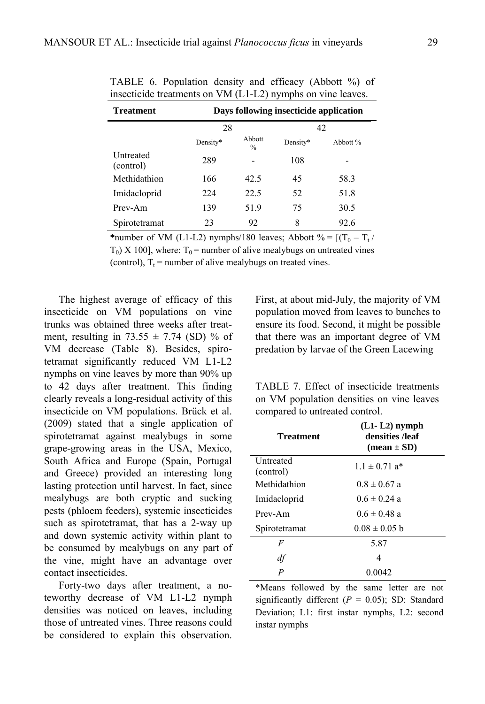| <b>Treatment</b>       | Days following insecticide application |                         |          |          |  |  |  |  |
|------------------------|----------------------------------------|-------------------------|----------|----------|--|--|--|--|
|                        | 28                                     |                         | 42       |          |  |  |  |  |
|                        | Density*                               | Abbott<br>$\frac{0}{0}$ | Density* | Abbott % |  |  |  |  |
| Untreated<br>(control) | 289                                    |                         | 108      |          |  |  |  |  |
| Methidathion           | 166                                    | 42.5                    | 45       | 58.3     |  |  |  |  |
| Imidacloprid           | 224                                    | 22.5                    | 52       | 51.8     |  |  |  |  |
| Prev-Am                | 139                                    | 51.9                    | 75       | 30.5     |  |  |  |  |
| Spirotetramat          | 23                                     | 92                      | 8        | 92.6     |  |  |  |  |

TABLE 6. Population density and efficacy (Abbott %) of insecticide treatments on VM (L1-L2) nymphs on vine leaves.

\*number of VM (L1-L2) nymphs/180 leaves; Abbott  $\% = [(T_0 - T_t)/T_0]$  $T_0$ ) X 100], where:  $T_0$  = number of alive mealybugs on untreated vines (control),  $T_t$  = number of alive mealybugs on treated vines.

The highest average of efficacy of this insecticide on VM populations on vine trunks was obtained three weeks after treatment, resulting in  $73.55 \pm 7.74$  (SD) % of VM decrease (Table 8). Besides, spirotetramat significantly reduced VM L1-L2 nymphs on vine leaves by more than 90% up to 42 days after treatment. This finding clearly reveals a long-residual activity of this insecticide on VM populations. Brück et al. (2009) stated that a single application of spirotetramat against mealybugs in some grape-growing areas in the USA, Mexico, South Africa and Europe (Spain, Portugal and Greece) provided an interesting long lasting protection until harvest. In fact, since mealybugs are both cryptic and sucking pests (phloem feeders), systemic insecticides such as spirotetramat, that has a 2-way up and down systemic activity within plant to be consumed by mealybugs on any part of the vine, might have an advantage over contact insecticides.

Forty-two days after treatment, a noteworthy decrease of VM L1-L2 nymph densities was noticed on leaves, including those of untreated vines. Three reasons could be considered to explain this observation. First, at about mid-July, the majority of VM population moved from leaves to bunches to ensure its food. Second, it might be possible that there was an important degree of VM predation by larvae of the Green Lacewing

TABLE 7. Effect of insecticide treatments on VM population densities on vine leaves compared to untreated control.

| <b>Treatment</b>              | $(L1-L2)$ nymph<br>densities /leaf<br>$mean \pm SD$ |
|-------------------------------|-----------------------------------------------------|
| <b>Untreated</b><br>(control) | $1.1 \pm 0.71$ a <sup>*</sup>                       |
| Methidathion                  | $0.8 \pm 0.67$ a                                    |
| Imidacloprid                  | $0.6 \pm 0.24$ a                                    |
| Prev-Am                       | $0.6 \pm 0.48$ a                                    |
| Spirotetramat                 | $0.08 \pm 0.05$ b                                   |
| F                             | 5.87                                                |
| df                            | 4                                                   |
| P                             | 0.0042                                              |

\*Means followed by the same letter are not significantly different  $(P = 0.05)$ ; SD: Standard Deviation; L1: first instar nymphs, L2: second instar nymphs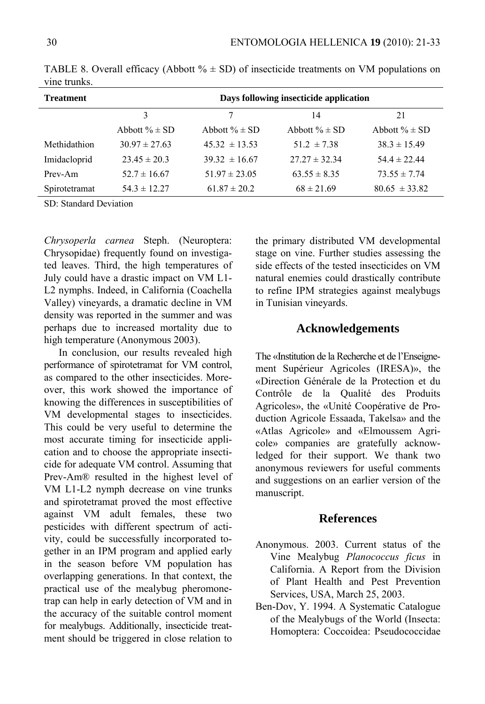| <b>Treatment</b> | Days following insecticide application |                    |                   |                    |  |  |  |  |  |
|------------------|----------------------------------------|--------------------|-------------------|--------------------|--|--|--|--|--|
|                  | 3                                      |                    | 14                | 21                 |  |  |  |  |  |
|                  | Abbott $% \pm SD$                      | Abbott $\% \pm SD$ | Abbott $% \pm SD$ | Abbott $\% \pm SD$ |  |  |  |  |  |
| Methidathion     | $30.97 \pm 27.63$                      | $45.32 \pm 13.53$  | $51.2 \pm 7.38$   | $38.3 \pm 15.49$   |  |  |  |  |  |
| Imidacloprid     | $23.45 \pm 20.3$                       | $39.32 \pm 16.67$  | $27.27 \pm 32.34$ | $54.4 \pm 22.44$   |  |  |  |  |  |
| Prev-Am          | $52.7 \pm 16.67$                       | $51.97 \pm 23.05$  | $63.55 \pm 8.35$  | $73.55 \pm 7.74$   |  |  |  |  |  |
| Spirotetramat    | $54.3 \pm 12.27$                       | $61.87 \pm 20.2$   | $68 \pm 21.69$    | $80.65 \pm 33.82$  |  |  |  |  |  |

TABLE 8. Overall efficacy (Abbott  $\% \pm SD$ ) of insecticide treatments on VM populations on vine trunks.

SD: Standard Deviation

*Chrysoperla carnea* Steph. (Neuroptera: Chrysopidae) frequently found on investigated leaves. Third, the high temperatures of July could have a drastic impact on VM L1- L2 nymphs. Indeed, in California (Coachella Valley) vineyards, a dramatic decline in VM density was reported in the summer and was perhaps due to increased mortality due to high temperature (Anonymous 2003).

In conclusion, our results revealed high performance of spirotetramat for VM control, as compared to the other insecticides. Moreover, this work showed the importance of knowing the differences in susceptibilities of VM developmental stages to insecticides. This could be very useful to determine the most accurate timing for insecticide application and to choose the appropriate insecticide for adequate VM control. Assuming that Prev-Am® resulted in the highest level of VM L1-L2 nymph decrease on vine trunks and spirotetramat proved the most effective against VM adult females, these two pesticides with different spectrum of activity, could be successfully incorporated together in an IPM program and applied early in the season before VM population has overlapping generations. In that context, the practical use of the mealybug pheromonetrap can help in early detection of VM and in the accuracy of the suitable control moment for mealybugs. Additionally, insecticide treatment should be triggered in close relation to the primary distributed VM developmental stage on vine. Further studies assessing the side effects of the tested insecticides on VM natural enemies could drastically contribute to refine IPM strategies against mealybugs in Tunisian vineyards.

### **Acknowledgements**

The «Institution de la Recherche et de l'Enseignement Supérieur Agricoles (IRESA)», the «Direction Générale de la Protection et du Contrôle de la Qualité des Produits Agricoles», the «Unité Coopérative de Production Agricole Essaada, Takelsa» and the «Atlas Agricole» and «Elmoussem Agricole» companies are gratefully acknowledged for their support. We thank two anonymous reviewers for useful comments and suggestions on an earlier version of the manuscript.

#### **References**

- Anonymous. 2003. Current status of the Vine Mealybug *Planococcus ficus* in California. A Report from the Division of Plant Health and Pest Prevention Services, USA, March 25, 2003.
- Ben-Dov, Y. 1994. A Systematic Catalogue of the Mealybugs of the World (Insecta: Homoptera: Coccoidea: Pseudococcidae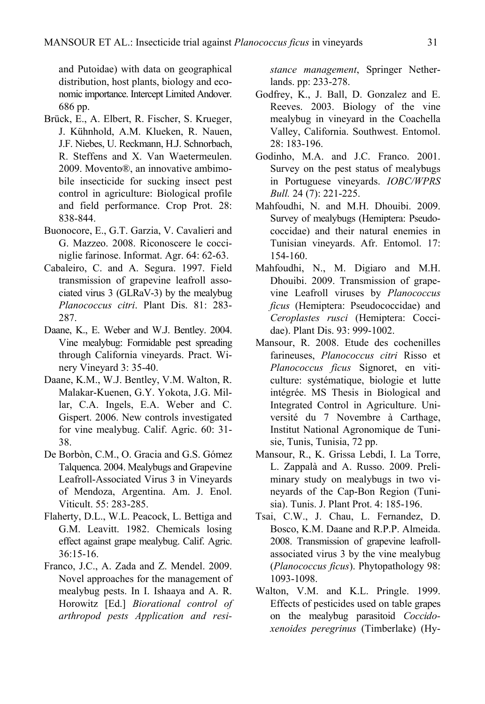and Putoidae) with data on geographical distribution, host plants, biology and economic importance. Intercept Limited Andover. 686 pp.

- Brück, E., A. Elbert, R. Fischer, S. Krueger, J. Kühnhold, A.M. Klueken, R. Nauen, J.F. Niebes, U. Reckmann, H.J. Schnorbach, R. Steffens and X. Van Waetermeulen. 2009. Movento®, an innovative ambimobile insecticide for sucking insect pest control in agriculture: Biological profile and field performance. Crop Prot. 28: 838-844.
- Buonocore, E., G.T. Garzia, V. Cavalieri and G. Mazzeo. 2008. Riconoscere le cocciniglie farinose. Informat. Agr. 64: 62-63.
- Cabaleiro, C. and A. Segura. 1997. Field transmission of grapevine leafroll associated virus 3 (GLRaV-3) by the mealybug *Planococcus citri*. Plant Dis. 81: 283- 287.
- Daane, K., E. Weber and W.J. Bentley. 2004. Vine mealybug: Formidable pest spreading through California vineyards. Pract. Winery Vineyard 3: 35-40.
- Daane, K.M., W.J. Bentley, V.M. Walton, R. Malakar-Kuenen, G.Y. Yokota, J.G. Millar, C.A. Ingels, E.A. Weber and C. Gispert. 2006. New controls investigated for vine mealybug. Calif. Agric. 60: 31- 38.
- De Borbòn, C.M., O. Gracia and G.S. Gómez Talquenca. 2004. Mealybugs and Grapevine Leafroll-Associated Virus 3 in Vineyards of Mendoza, Argentina. Am. J. Enol. Viticult. 55: 283-285.
- Flaherty, D.L., W.L. Peacock, L. Bettiga and G.M. Leavitt. 1982. Chemicals losing effect against grape mealybug. Calif. Agric. 36:15-16.
- Franco, J.C., A. Zada and Z. Mendel. 2009. Novel approaches for the management of mealybug pests. In I. Ishaaya and A. R. Horowitz [Ed.] *Biorational control of arthropod pests Application and resi-*

*stance management*, Springer Netherlands. pp: 233-278.

- Godfrey, K., J. Ball, D. Gonzalez and E. Reeves. 2003. Biology of the vine mealybug in vineyard in the Coachella Valley, California. Southwest. Entomol. 28: 183-196.
- Godinho, M.A. and J.C. Franco. 2001. Survey on the pest status of mealybugs in Portuguese vineyards. *IOBC/WPRS Bull.* 24 (7): 221-225.
- Mahfoudhi, N. and M.H. Dhouibi. 2009. Survey of mealybugs (Hemiptera: Pseudococcidae) and their natural enemies in Tunisian vineyards. Afr. Entomol. 17: 154-160.
- Mahfoudhi, N., M. Digiaro and M.H. Dhouibi. 2009. Transmission of grapevine Leafroll viruses by *Planococcus ficus* (Hemiptera: Pseudococcidae) and *Ceroplastes rusci* (Hemiptera: Coccidae). Plant Dis. 93: 999-1002.
- Mansour, R. 2008. Etude des cochenilles farineuses, *Planococcus citri* Risso et *Planococcus ficus* Signoret, en viticulture: systématique, biologie et lutte intégrée. MS Thesis in Biological and Integrated Control in Agriculture. Université du 7 Novembre à Carthage, Institut National Agronomique de Tunisie, Tunis, Tunisia, 72 pp.
- Mansour, R., K. Grissa Lebdi, I. La Torre, L. Zappalà and A. Russo. 2009. Preliminary study on mealybugs in two vineyards of the Cap-Bon Region (Tunisia). Tunis. J. Plant Prot. 4: 185-196.
- Tsai, C.W., J. Chau, L. Fernandez, D. Bosco, K.M. Daane and R.P.P. Almeida. 2008. Transmission of grapevine leafrollassociated virus 3 by the vine mealybug (*Planococcus ficus*). Phytopathology 98: 1093-1098.
- Walton, V.M. and K.L. Pringle. 1999. Effects of pesticides used on table grapes on the mealybug parasitoid *Coccidoxenoides peregrinus* (Timberlake) (Hy-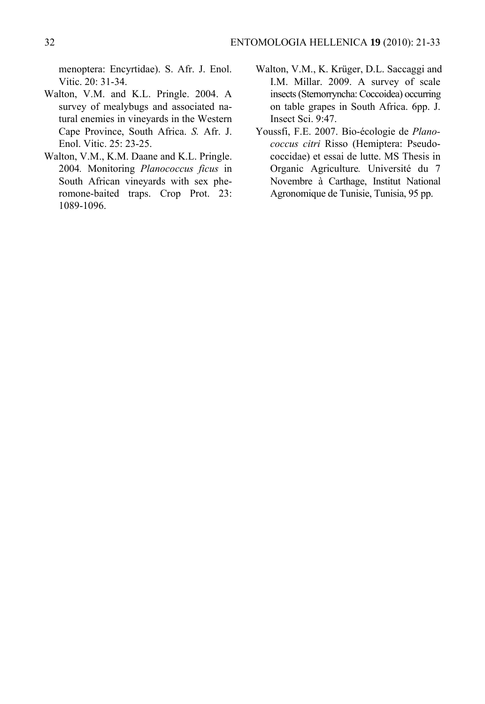menoptera: Encyrtidae). S. Afr. J. Enol. Vitic. 20: 31-34.

- Walton, V.M. and K.L. Pringle. 2004. A survey of mealybugs and associated natural enemies in vineyards in the Western Cape Province, South Africa. *S.* Afr. J. Enol. Vitic. 25: 23-25.
- Walton, V.M., K.M. Daane and K.L. Pringle. 2004*.* Monitoring *Planococcus ficus* in South African vineyards with sex pheromone-baited traps. Crop Prot. 23: 1089-1096.
- Walton, V.M., K. Krüger, D.L. Saccaggi and I.M. Millar. 2009. A survey of scale insects (Sternorryncha: Coccoidea) occurring on table grapes in South Africa. 6pp. J. Insect Sci. 9:47.
- Youssfi, F.E. 2007. Bio-écologie de *Planococcus citri* Risso (Hemiptera: Pseudococcidae) et essai de lutte. MS Thesis in Organic Agriculture*.* Université du 7 Novembre à Carthage, Institut National Agronomique de Tunisie, Tunisia, 95 pp.